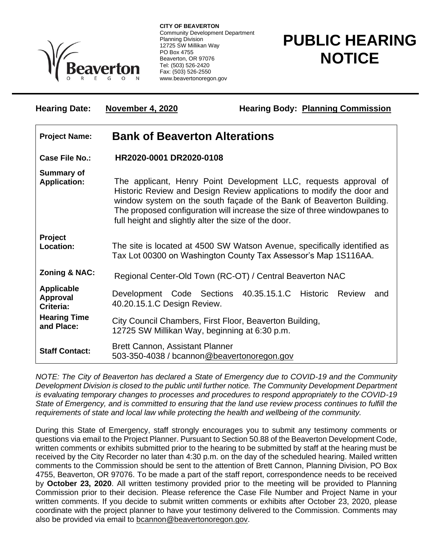

**CITY OF BEAVERTON** Community Development Department Planning Division 12725 SW Millikan Way PO Box 4755 Beaverton, OR 97076 Tel: (503) 526-2420 Fax: (503) 526-2550 www.beavertonoregon.gov

**Hearing Date: November 4, 2020 Hearing Body: Planning Commission**

## **PUBLIC HEARING NOTICE**

| <b>Project Name:</b>                              | <b>Bank of Beaverton Alterations</b>                                                                                                                                                                                                                                                                                                                   |
|---------------------------------------------------|--------------------------------------------------------------------------------------------------------------------------------------------------------------------------------------------------------------------------------------------------------------------------------------------------------------------------------------------------------|
| <b>Case File No.:</b>                             | HR2020-0001 DR2020-0108                                                                                                                                                                                                                                                                                                                                |
| <b>Summary of</b><br><b>Application:</b>          | The applicant, Henry Point Development LLC, requests approval of<br>Historic Review and Design Review applications to modify the door and<br>window system on the south façade of the Bank of Beaverton Building.<br>The proposed configuration will increase the size of three windowpanes to<br>full height and slightly alter the size of the door. |
| Project<br>Location:                              | The site is located at 4500 SW Watson Avenue, specifically identified as<br>Tax Lot 00300 on Washington County Tax Assessor's Map 1S116AA.                                                                                                                                                                                                             |
| <b>Zoning &amp; NAC:</b>                          | Regional Center-Old Town (RC-OT) / Central Beaverton NAC                                                                                                                                                                                                                                                                                               |
| <b>Applicable</b><br><b>Approval</b><br>Criteria: | Development Code Sections 40.35.15.1.C Historic Review<br>and<br>40.20.15.1.C Design Review.                                                                                                                                                                                                                                                           |
| <b>Hearing Time</b><br>and Place:                 | City Council Chambers, First Floor, Beaverton Building,<br>12725 SW Millikan Way, beginning at 6:30 p.m.                                                                                                                                                                                                                                               |
| <b>Staff Contact:</b>                             | <b>Brett Cannon, Assistant Planner</b><br>503-350-4038 / bcannon@beavertonoregon.gov                                                                                                                                                                                                                                                                   |

*NOTE: The City of Beaverton has declared a State of Emergency due to COVID-19 and the Community Development Division is closed to the public until further notice. The Community Development Department is evaluating temporary changes to processes and procedures to respond appropriately to the COVID-19 State of Emergency, and is committed to ensuring that the land use review process continues to fulfill the requirements of state and local law while protecting the health and wellbeing of the community.*

During this State of Emergency, staff strongly encourages you to submit any testimony comments or questions via email to the Project Planner. Pursuant to Section 50.88 of the Beaverton Development Code, written comments or exhibits submitted prior to the hearing to be submitted by staff at the hearing must be received by the City Recorder no later than 4:30 p.m. on the day of the scheduled hearing. Mailed written comments to the Commission should be sent to the attention of Brett Cannon, Planning Division, PO Box 4755, Beaverton, OR 97076. To be made a part of the staff report, correspondence needs to be received by **October 23, 2020**. All written testimony provided prior to the meeting will be provided to Planning Commission prior to their decision. Please reference the Case File Number and Project Name in your written comments. If you decide to submit written comments or exhibits after October 23, 2020, please coordinate with the project planner to have your testimony delivered to the Commission. Comments may also be provided via email to [bcannon@beavertonoregon.gov.](mailto:bcannon@beavertonoregon.gov)